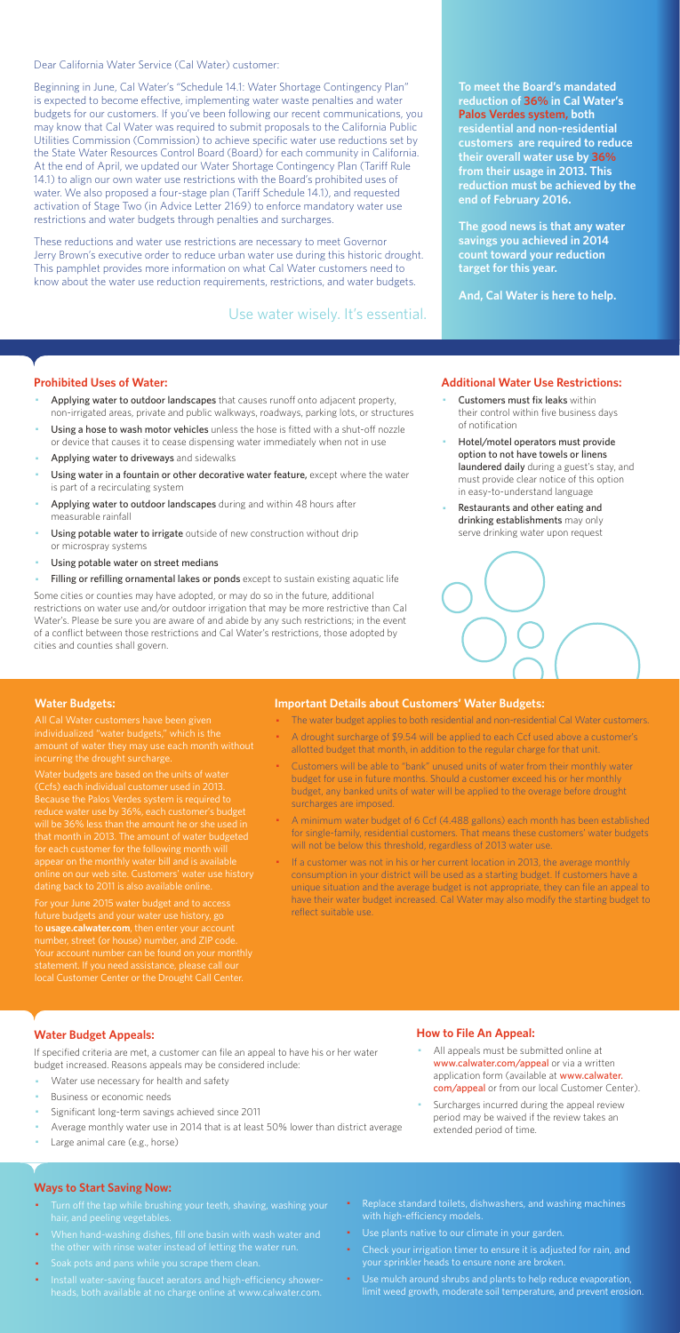Dear California Water Service (Cal Water) customer:

Beginning in June, Cal Water's "Schedule 14.1: Water Shortage Contingency Plan" is expected to become effective, implementing water waste penalties and water budgets for our customers. If you've been following our recent communications, you may know that Cal Water was required to submit proposals to the California Public Utilities Commission (Commission) to achieve specific water use reductions set by the State Water Resources Control Board (Board) for each community in California. At the end of April, we updated our Water Shortage Contingency Plan (Tariff Rule 14.1) to align our own water use restrictions with the Board's prohibited uses of water. We also proposed a four-stage plan (Tariff Schedule 14.1), and requested activation of Stage Two (in Advice Letter 2169) to enforce mandatory water use restrictions and water budgets through penalties and surcharges.

These reductions and water use restrictions are necessary to meet Governor Jerry Brown's executive order to reduce urban water use during this historic drought. This pamphlet provides more information on what Cal Water customers need to know about the water use reduction requirements, restrictions, and water budgets.

#### **Prohibited Uses of Water:**

- Applying water to outdoor landscapes that causes runoff onto adjacent property, non-irrigated areas, private and public walkways, roadways, parking lots, or structures
- Using a hose to wash motor vehicles unless the hose is fitted with a shut-off nozzle or device that causes it to cease dispensing water immediately when not in use
- Applying water to driveways and sidewalks
- Using water in a fountain or other decorative water feature, except where the water is part of a recirculating system
- Applying water to outdoor landscapes during and within 48 hours after measurable rainfall
- Using potable water to irrigate outside of new construction without drip or microspray systems
- Using potable water on street medians
- Filling or refilling ornamental lakes or ponds except to sustain existing aquatic life
- Customers must fix leaks within their control within five business days of notification
- Hotel/motel operators must provide option to not have towels or linens laundered daily during a guest's stay, and must provide clear notice of this option in easy-to-understand language
- Restaurants and other eating and drinking establishments may only serve drinking water upon request



- All appeals must be submitted online at www.calwater.com/appeal or via a written application form (available at www.calwater. com/appeal or from our local Customer Center).
- · Surcharges incurred during the appeal review period may be waived if the review takes an extended period of time.

Some cities or counties may have adopted, or may do so in the future, additional restrictions on water use and/or outdoor irrigation that may be more restrictive than Cal Water's. Please be sure you are aware of and abide by any such restrictions; in the event of a conflict between those restrictions and Cal Water's restrictions, those adopted by cities and counties shall govern.

- Turn off the tap while brushing your teeth, shaving, washing your hair, and peeling vegetables.
- · When hand-washing dishes, fill one basin with wash water and the other with rinse water instead of letting the water run.
- · Soak pots and pans while you scrape them clean.
- · Install water-saving faucet aerators and high-efficiency showerheads, both available at no charge online at www.calwater.com.
- Replace standard toilets, dishwashers, and washing machines with high-efficiency models.
- · Use plants native to our climate in your garden.
- Check your irrigation timer to ensure it is adjusted for rain, and your sprinkler heads to ensure none are broken.
- · Use mulch around shrubs and plants to help reduce evaporation, limit weed growth, moderate soil temperature, and prevent erosion.

**To meet the Board's mandated reduction of 36% in Cal Water's Palos Verdes system, both residential and non-residential customers are required to reduce their overall water use by 36% from their usage in 2013. This reduction must be achieved by the end of February 2016.** 

**The good news is that any water savings you achieved in 2014 count toward your reduction target for this year.** 

**And, Cal Water is here to help.** 

#### **Additional Water Use Restrictions:**

### **Water Budget Appeals:**

If specified criteria are met, a customer can file an appeal to have his or her water budget increased. Reasons appeals may be considered include:

- Water use necessary for health and safety
- Business or economic needs
- Significant long-term savings achieved since 2011
- Average monthly water use in 2014 that is at least 50% lower than district average
- Large animal care (e.g., horse)

If a customer was not in his or her current location in 2013, the average monthly consumption in your district will be used as a starting budget. If customers have a unique situation and the average budget is not appropriate, they can file an appeal to have their water budget increased. Cal Water may also modify the starting budget to reflect suitable use.

## **How to File An Appeal:**

#### **Ways to Start Saving Now:**

Use water wisely. It's essential.

#### **Water Budgets:**

individualized "water budgets," which is the incurring the drought surcharge.

Water budgets are based on the units of water (Ccfs) each individual customer used in 2013. Because the Palos Verdes system is required to reduce water use by 36%, each customer's budget that month in 2013. The amount of water budgeted for each customer for the following month will appear on the monthly water bill and is available dating back to 2011 is also available online.

For your June 2015 water budget and to access future budgets and your water use history, go to **usage.calwater.com**, then enter your account number, street (or house) number, and ZIP code. local Customer Center or the Drought Call Center.

#### **Important Details about Customers' Water Budgets:**

- · The water budget applies to both residential and non-residential Cal Water customers.
- A drought surcharge of \$9.54 will be applied to each Ccf used above a customer's allotted budget that month, in addition to the regular charge for that unit.
- · Customers will be able to "bank" unused units of water from their monthly water budget for use in future months. Should a customer exceed his or her monthly budget, any banked units of water will be applied to the overage before drought surcharges are imposed.
- · A minimum water budget of 6 Ccf (4.488 gallons) each month has been established for single-family, residential customers. That means these customers' water budgets will not be below this threshold, regardless of 2013 water use.